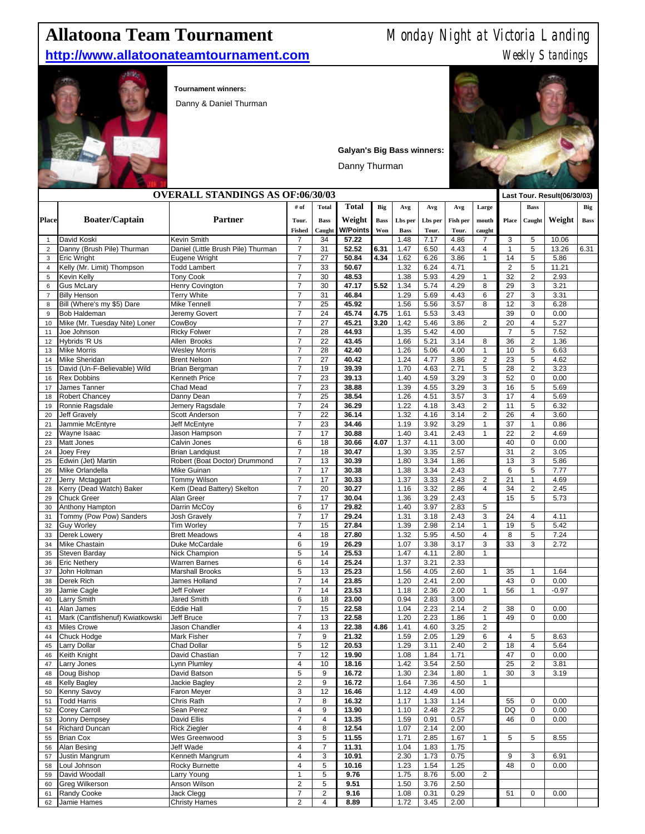## http://www.allatoonateamtournament.com

## **Allatoona Team Tournament** Monday Night at Victoria Landing<br> **http://www.allatoonateamtournament.com** Weekly Standings



**Tournament winners:** 

Danny & Daniel Thurman



**Galyan's Big Bass winners:**

Danny Thurman

| <b>OVERALL STANDINGS AS OF:06/30/03</b> |                                   |                                     |                                    |                |                 |             |              |              |              |                                         | Last Tour. Result(06/30/03) |                     |              |      |
|-----------------------------------------|-----------------------------------|-------------------------------------|------------------------------------|----------------|-----------------|-------------|--------------|--------------|--------------|-----------------------------------------|-----------------------------|---------------------|--------------|------|
|                                         |                                   |                                     | # of                               | <b>Total</b>   | <b>Total</b>    | Big         | Avg          | Avg          | Avg          | Large                                   |                             | <b>Bass</b>         |              | Big  |
| <b>Place</b>                            | <b>Boater/Captain</b>             | <b>Partner</b>                      | Tour.                              | <b>Bass</b>    | Weight          | <b>Bass</b> | Lbs per      | Lbs per      | Fish per     | mouth                                   | Place                       | Caught              | Weight       | Bass |
|                                         |                                   |                                     | <b>Fished</b>                      | Caught         | <b>W/Points</b> | Won         | <b>Bass</b>  | Tour.        | Tour.        | caught                                  |                             |                     |              |      |
| $\mathbf{1}$                            | David Koski                       | Kevin Smith                         | $\overline{7}$                     | 34             | 57.22           |             | 1.48         | 7.17         | 4.86         | $\overline{7}$                          | 3                           | 5                   | 10.06        |      |
| $\overline{2}$                          | Danny (Brush Pile) Thurman        | Daniel (Little Brush Pile) Thurman  | $\overline{7}$                     | 31             | 52.52           | 6.31        | 1.47         | 6.50         | 4.43         | $\overline{4}$                          | $\mathbf{1}$                | 5                   | 13.26        | 6.31 |
| 3                                       | <b>Eric Wright</b>                | Eugene Wright                       | $\overline{7}$                     | 27             | 50.84           | 4.34        | 1.62         | 6.26         | 3.86         | $\mathbf{1}$                            | 14                          | 5                   | 5.86         |      |
| $\overline{4}$                          | Kelly (Mr. Limit) Thompson        | <b>Todd Lambert</b>                 | $\overline{7}$                     | 33             | 50.67           |             | 1.32         | 6.24         | 4.71         |                                         | 2                           | 5                   | 11.21        |      |
| 5                                       | Kevin Kelly                       | <b>Tony Cook</b>                    | $\overline{7}$                     | 30             | 48.53           |             | 1.38         | 5.93         | 4.29         | $\mathbf{1}$                            | 32                          | $\mathbf{2}$        | 2.93         |      |
| 6                                       | <b>Gus McLary</b>                 | Henry Covington                     | $\overline{7}$                     | 30             | 47.17           | 5.52        | 1.34         | 5.74         | 4.29         | 8                                       | 29                          | 3                   | 3.21         |      |
| $\overline{7}$                          | <b>Billy Henson</b>               | <b>Terry White</b>                  | $\overline{7}$                     | 31             | 46.84           |             | 1.29         | 5.69         | 4.43         | 6                                       | 27                          | 3                   | 3.31         |      |
| 8                                       | Bill (Where's my \$5) Dare        | Mike Tennell                        | $\overline{7}$                     | 25             | 45.92           |             | 1.56         | 5.56         | 3.57         | 8                                       | 12                          | 3                   | 6.28         |      |
| 9                                       | Bob Haldeman                      | Jeremy Govert                       | $\overline{7}$                     | 24             | 45.74           | 4.75        | 1.61         | 5.53         | 3.43         |                                         | 39                          | $\mathbf 0$         | 0.00         |      |
| 10                                      | Mike (Mr. Tuesday Nite) Loner     | CowBoy                              | $\overline{7}$                     | 27             | 45.21           | 3.20        | 1.42         | 5.46         | 3.86         | $\overline{c}$                          | 20                          | 4                   | 5.27         |      |
| 11                                      | Joe Johnson<br>Hybrids 'R Us      | <b>Ricky Folwer</b><br>Allen Brooks | $\overline{7}$<br>$\overline{7}$   | 28<br>22       | 44.93<br>43.45  |             | 1.35<br>1.66 | 5.42<br>5.21 | 4.00<br>3.14 | 8                                       | $\overline{7}$<br>36        | 5<br>$\overline{2}$ | 7.52<br>1.36 |      |
| 12<br>13                                | <b>Mike Morris</b>                | <b>Wesley Morris</b>                | $\overline{7}$                     | 28             | 42.40           |             | 1.26         | 5.06         | 4.00         | $\mathbf{1}$                            | 10                          | 5                   | 6.63         |      |
| 14                                      | Mike Sheridan                     | <b>Brent Nelson</b>                 | $\overline{7}$                     | 27             | 40.42           |             | 1.24         | 4.77         | 3.86         | $\overline{2}$                          | 23                          | 5                   | 4.62         |      |
| 15                                      | David (Un-F-Believable) Wild      | Brian Bergman                       | $\overline{7}$                     | 19             | 39.39           |             | 1.70         | 4.63         | 2.71         | $\sqrt{5}$                              | 28                          | $\overline{2}$      | 3.23         |      |
| 16                                      | <b>Rex Dobbins</b>                | Kenneth Price                       | $\overline{7}$                     | 23             | 39.13           |             | 1.40         | 4.59         | 3.29         | 3                                       | 52                          | $\mathbf 0$         | 0.00         |      |
| 17                                      | James Tanner                      | Chad Mead                           | $\overline{7}$                     | 23             | 38.88           |             | 1.39         | 4.55         | 3.29         | 3                                       | 16                          | 5                   | 5.69         |      |
| 18                                      | Robert Chancey                    | Danny Dean                          | $\overline{7}$                     | 25             | 38.54           |             | 1.26         | 4.51         | 3.57         | 3                                       | 17                          | $\overline{4}$      | 5.69         |      |
| 19                                      | Ronnie Ragsdale                   | Jemery Ragsdale                     | $\overline{7}$                     | 24             | 36.29           |             | 1.22         | 4.18         | 3.43         | $\overline{c}$                          | 11                          | 5                   | 6.32         |      |
| 20                                      | <b>Jeff Gravely</b>               | Scott Anderson                      | $\boldsymbol{7}$                   | 22             | 36.14           |             | 1.32         | 4.16         | 3.14         | $\overline{\mathbf{c}}$                 | 26                          | 4                   | 3.60         |      |
| 21                                      | Jammie McEntyre                   | Jeff McEntyre                       | $\overline{7}$                     | 23             | 34.46           |             | 1.19         | 3.92         | 3.29         | $\mathbf{1}$                            | 37                          | 1                   | 0.86         |      |
| 22                                      | Wayne Isaac                       | Jason Hampson                       | $\overline{7}$                     | 17             | 30.88           |             | 1.40         | 3.41         | 2.43         | $\mathbf{1}$                            | 22                          | $\overline{c}$      | 4.69         |      |
| 23                                      | Matt Jones                        | Calvin Jones                        | 6                                  | 18             | 30.66           | 4.07        | 1.37         | 4.11         | 3.00         |                                         | 40                          | $\mathbf 0$         | 0.00         |      |
| 24                                      | Joey Frey                         | <b>Brian Landqiust</b>              | $\overline{7}$                     | 18             | 30.47           |             | 1.30         | 3.35         | 2.57         |                                         | 31                          | $\overline{c}$      | 3.05         |      |
| 25                                      | Edwin (Jet) Martin                | Robert (Boat Doctor) Drummond       | $\overline{7}$                     | 13             | 30.39           |             | 1.80         | 3.34         | 1.86         |                                         | 13                          | 3                   | 5.86         |      |
| 26                                      | Mike Orlandella                   | Mike Guinan                         | $\overline{7}$                     | 17             | 30.38           |             | 1.38         | 3.34         | 2.43         |                                         | 6                           | 5                   | 7.77         |      |
| 27                                      | Jerry Mctaggart                   | Tommy Wilson                        | $\overline{7}$                     | 17             | 30.33           |             | 1.37         | 3.33         | 2.43         | 2                                       | 21                          | $\mathbf{1}$        | 4.69         |      |
| 28                                      | Kerry (Dead Watch) Baker          | Kem (Dead Battery) Skelton          | $\overline{7}$                     | 20             | 30.27           |             | 1.16         | 3.32         | 2.86         | $\overline{4}$                          | 34                          | $\mathbf{2}$        | 2.45         |      |
| 29                                      | <b>Chuck Greer</b>                | Alan Greer                          | $\overline{7}$                     | 17             | 30.04           |             | 1.36         | 3.29         | 2.43         |                                         | 15                          | 5                   | 5.73         |      |
| 30                                      | Anthony Hampton                   | Darrin McCoy                        | 6                                  | 17             | 29.82           |             | 1.40         | 3.97         | 2.83         | 5                                       |                             |                     |              |      |
| 31                                      | Tommy (Pow Pow) Sanders           | <b>Josh Gravely</b>                 | $\overline{7}$                     | 17             | 29.24           |             | 1.31         | 3.18         | 2.43         | 3                                       | 24                          | 4                   | 4.11         |      |
| 32                                      | <b>Guy Worley</b><br>Derek Lowery | Tim Worley<br><b>Brett Meadows</b>  | $\overline{7}$<br>$\overline{4}$   | 15<br>18       | 27.84<br>27.80  |             | 1.39<br>1.32 | 2.98<br>5.95 | 2.14<br>4.50 | $\mathbf{1}$<br>$\overline{\mathbf{4}}$ | 19<br>8                     | 5<br>5              | 5.42<br>7.24 |      |
| 33<br>34                                | Mike Chastain                     | Duke McCardale                      | 6                                  | 19             | 26.29           |             | 1.07         | 3.38         | 3.17         | 3                                       | 33                          | 3                   | 2.72         |      |
| 35                                      | Steven Barday                     | Nick Champion                       | 5                                  | 14             | 25.53           |             | 1.47         | 4.11         | 2.80         | $\mathbf{1}$                            |                             |                     |              |      |
| 36                                      | <b>Eric Nethery</b>               | Warren Barnes                       | 6                                  | 14             | 25.24           |             | 1.37         | 3.21         | 2.33         |                                         |                             |                     |              |      |
| 37                                      | John Holtman                      | Marshall Brooks                     | 5                                  | 13             | 25.23           |             | 1.56         | 4.05         | 2.60         | $\mathbf{1}$                            | 35                          | $\mathbf{1}$        | 1.64         |      |
| 38                                      | Derek Rich                        | James Holland                       | $\overline{7}$                     | 14             | 23.85           |             | 1.20         | 2.41         | 2.00         |                                         | 43                          | 0                   | 0.00         |      |
| 39                                      | Jamie Cagle                       | Jeff Folwer                         | $\overline{7}$                     | 14             | 23.53           |             | 1.18         | 2.36         | 2.00         | $\mathbf{1}$                            | 56                          | $\mathbf{1}$        | $-0.97$      |      |
| 40                                      | Larry Smith                       | <b>Jared Smith</b>                  | 6                                  | 18             | 23.00           |             | 0.94         | 2.83         | 3.00         |                                         |                             |                     |              |      |
| 41                                      | Alan James                        | Eddie Hall                          | $\overline{7}$                     | 15             | 22.58           |             | 1.04         | 2.23         | 2.14         | $\overline{c}$                          | 38                          | $\mathbf 0$         | 0.00         |      |
| 41                                      | Mark (Cantfishenuf) Kwiatkowski   | Jeff Bruce                          | $\overline{7}$                     | 13             | 22.58           |             | 1.20         | 2.23         | 1.86         | $\mathbf{1}$                            | 49                          | $\mathbf 0$         | 0.00         |      |
| 43                                      | Miles Crowe                       | Jason Chandler                      | $\overline{4}$                     | 13             | 22.38           | 4.86        | 1.41         | 4.60         | 3.25         | $\overline{c}$                          |                             |                     |              |      |
| 44                                      | Chuck Hodge                       | Mark Fisher                         | $\overline{7}$                     | $9\,$          | 21.32           |             | 1.59         | 2.05         | 1.29         | 6                                       | 4                           | 5                   | 8.63         |      |
| 45                                      | Larry Dollar                      | Chad Dollar                         | 5                                  | 12             | 20.53           |             | 1.29         | 3.11         | 2.40         | $\overline{2}$                          | 18                          | $\overline{4}$      | 5.64         |      |
| 46                                      | Keith Knight                      | David Chastian                      | $\overline{7}$                     | 12             | 19.90           |             | 1.08         | 1.84         | 1.71         |                                         | 47                          | 0                   | 0.00         |      |
|                                         | Larry Jones                       | Lynn Plumley                        | 4                                  | 10             | 18.16           |             | 1.42         | 3.54         | $2.50\,$     |                                         | 25                          | 2                   | 3.81         |      |
| 48                                      | Doug Bishop                       | David Batson                        | 5                                  | 9              | 16.72           |             | 1.30         | 2.34         | 1.80         | $\mathbf{1}$                            | 30                          | 3                   | 3.19         |      |
| 48                                      | Kelly Bagley                      | Jackie Bagley                       | $\sqrt{2}$                         | 9              | 16.72           |             | 1.64         | 7.36         | 4.50         | $\mathbf{1}$                            |                             |                     |              |      |
| 50                                      | Kenny Savoy                       | Faron Meyer                         | $\sqrt{3}$                         | 12             | 16.46           |             | 1.12         | 4.49         | 4.00         |                                         |                             |                     |              |      |
| 51                                      | <b>Todd Harris</b>                | Chris Rath                          | $\overline{7}$                     | 8              | 16.32           |             | 1.17         | 1.33         | 1.14         |                                         | 55                          | 0                   | 0.00         |      |
| 52                                      | Corey Carroll<br>Jonny Dempsey    | Sean Perez<br>David Ellis           | $\overline{4}$<br>$\boldsymbol{7}$ | 9<br>4         | 13.90<br>13.35  |             | 1.10<br>1.59 | 2.48<br>0.91 | 2.25<br>0.57 |                                         | DQ<br>46                    | 0<br>0              | 0.00<br>0.00 |      |
| 53<br>54                                | <b>Richard Duncan</b>             | Rick Ziegler                        | $\overline{4}$                     | 8              | 12.54           |             | 1.07         | 2.14         | 2.00         |                                         |                             |                     |              |      |
| 55                                      | <b>Brian Cox</b>                  | Wes Greenwood                       | $\mathbf 3$                        | 5              | 11.55           |             | 1.71         | 2.85         | 1.67         | $\mathbf{1}$                            | 5                           | 5                   | 8.55         |      |
| 56                                      | Alan Besing                       | Jeff Wade                           | $\overline{4}$                     | $\overline{7}$ | 11.31           |             | 1.04         | 1.83         | 1.75         |                                         |                             |                     |              |      |
| 57                                      | Justin Mangrum                    | Kenneth Mangrum                     | 4                                  | 3              | 10.91           |             | 2.30         | 1.73         | 0.75         |                                         | 9                           | 3                   | 6.91         |      |
| 58                                      | Loul Johnson                      | <b>Rocky Burnette</b>               | $\overline{4}$                     | 5              | 10.16           |             | 1.23         | 1.54         | 1.25         |                                         | 48                          | 0                   | 0.00         |      |
| 59                                      | David Woodall                     | Larry Young                         | $\mathbf{1}$                       | 5              | 9.76            |             | 1.75         | 8.76         | 5.00         | $\sqrt{2}$                              |                             |                     |              |      |
| 60                                      | <b>Greg Wilkerson</b>             | Anson Wilson                        | $\overline{c}$                     | 5              | 9.51            |             | 1.50         | 3.76         | 2.50         |                                         |                             |                     |              |      |
| 61                                      | Randy Cooke                       | Jack Clegg                          | $\overline{7}$                     | 2              | 9.16            |             | 1.08         | 0.31         | 0.29         |                                         | 51                          | 0                   | 0.00         |      |
| 62                                      | Jamie Hames                       | <b>Christy Hames</b>                | $\overline{c}$                     | 4              | 8.89            |             | 1.72         | 3.45         | 2.00         |                                         |                             |                     |              |      |